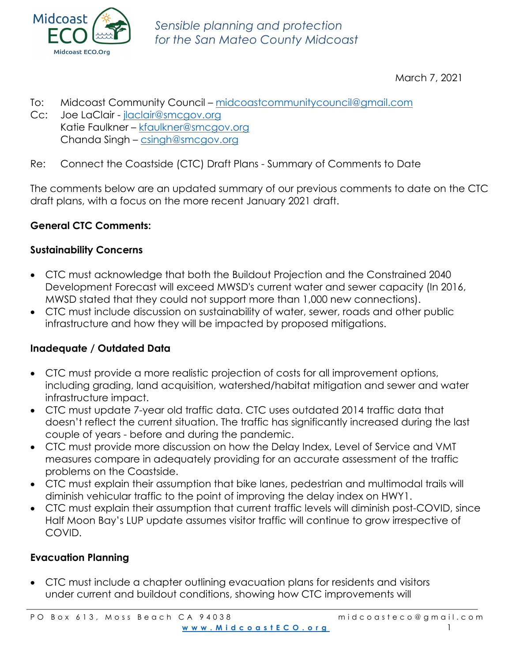

March 7, 2021

- To: Midcoast Community Council midcoastcommunitycouncil@gmail.com
- Cc: Joe LaClair jlaclair@smcgov.org Katie Faulkner – kfaulkner@smcgov.org Chanda Singh – csingh@smcgov.org
- Re: Connect the Coastside (CTC) Draft Plans Summary of Comments to Date

The comments below are an updated summary of our previous comments to date on the CTC draft plans, with a focus on the more recent January 2021 draft.

# **General CTC Comments:**

# **Sustainability Concerns**

- CTC must acknowledge that both the Buildout Projection and the Constrained 2040 Development Forecast will exceed MWSD's current water and sewer capacity (In 2016, MWSD stated that they could not support more than 1,000 new connections).
- CTC must include discussion on sustainability of water, sewer, roads and other public infrastructure and how they will be impacted by proposed mitigations.

# **Inadequate / Outdated Data**

- CTC must provide a more realistic projection of costs for all improvement options, including grading, land acquisition, watershed/habitat mitigation and sewer and water infrastructure impact.
- CTC must update 7-year old traffic data. CTC uses outdated 2014 traffic data that doesn't reflect the current situation. The traffic has significantly increased during the last couple of years - before and during the pandemic.
- CTC must provide more discussion on how the Delay Index, Level of Service and VMT measures compare in adequately providing for an accurate assessment of the traffic problems on the Coastside.
- CTC must explain their assumption that bike lanes, pedestrian and multimodal trails will diminish vehicular traffic to the point of improving the delay index on HWY1.
- CTC must explain their assumption that current traffic levels will diminish post-COVID, since Half Moon Bay's LUP update assumes visitor traffic will continue to grow irrespective of COVID.

# **Evacuation Planning**

• CTC must include a chapter outlining evacuation plans for residents and visitors under current and buildout conditions, showing how CTC improvements will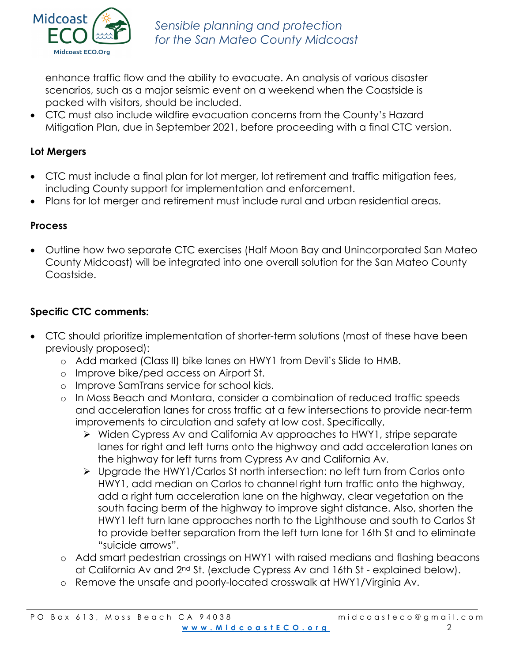

enhance traffic flow and the ability to evacuate. An analysis of various disaster scenarios, such as a major seismic event on a weekend when the Coastside is packed with visitors, should be included.

• CTC must also include wildfire evacuation concerns from the County's Hazard Mitigation Plan, due in September 2021, before proceeding with a final CTC version.

# **Lot Mergers**

- CTC must include a final plan for lot merger, lot retirement and traffic mitigation fees, including County support for implementation and enforcement.
- Plans for lot merger and retirement must include rural and urban residential areas.

#### **Process**

• Outline how two separate CTC exercises (Half Moon Bay and Unincorporated San Mateo County Midcoast) will be integrated into one overall solution for the San Mateo County Coastside.

### **Specific CTC comments:**

- CTC should prioritize implementation of shorter-term solutions (most of these have been previously proposed):
	- o Add marked (Class II) bike lanes on HWY1 from Devil's Slide to HMB.
	- o Improve bike/ped access on Airport St.
	- o Improve SamTrans service for school kids.
	- o In Moss Beach and Montara, consider a combination of reduced traffic speeds and acceleration lanes for cross traffic at a few intersections to provide near-term improvements to circulation and safety at low cost. Specifically,
		- Ø Widen Cypress Av and California Av approaches to HWY1, stripe separate lanes for right and left turns onto the highway and add acceleration lanes on the highway for left turns from Cypress Av and California Av.
		- Ø Upgrade the HWY1/Carlos St north intersection: no left turn from Carlos onto HWY1, add median on Carlos to channel right turn traffic onto the highway, add a right turn acceleration lane on the highway, clear vegetation on the south facing berm of the highway to improve sight distance. Also, shorten the HWY1 left turn lane approaches north to the Lighthouse and south to Carlos St to provide better separation from the left turn lane for 16th St and to eliminate "suicide arrows".
	- o Add smart pedestrian crossings on HWY1 with raised medians and flashing beacons at California Av and 2nd St. (exclude Cypress Av and 16th St - explained below).
	- o Remove the unsafe and poorly-located crosswalk at HWY1/Virginia Av.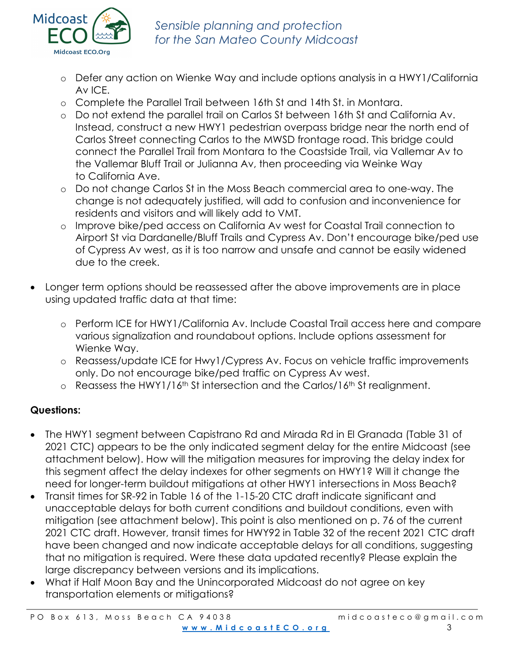

*Sensible planning and protection for the San Mateo County Midcoast*

- o Defer any action on Wienke Way and include options analysis in a HWY1/California Av ICE.
- o Complete the Parallel Trail between 16th St and 14th St. in Montara.
- o Do not extend the parallel trail on Carlos St between 16th St and California Av. Instead, construct a new HWY1 pedestrian overpass bridge near the north end of Carlos Street connecting Carlos to the MWSD frontage road. This bridge could connect the Parallel Trail from Montara to the Coastside Trail, via Vallemar Av to the Vallemar Bluff Trail or Julianna Av, then proceeding via Weinke Way to California Ave.
- o Do not change Carlos St in the Moss Beach commercial area to one-way. The change is not adequately justified, will add to confusion and inconvenience for residents and visitors and will likely add to VMT.
- o Improve bike/ped access on California Av west for Coastal Trail connection to Airport St via Dardanelle/Bluff Trails and Cypress Av. Don't encourage bike/ped use of Cypress Av west, as it is too narrow and unsafe and cannot be easily widened due to the creek.
- Longer term options should be reassessed after the above improvements are in place using updated traffic data at that time:
	- o Perform ICE for HWY1/California Av. Include Coastal Trail access here and compare various signalization and roundabout options. Include options assessment for Wienke Way.
	- o Reassess/update ICE for Hwy1/Cypress Av. Focus on vehicle traffic improvements only. Do not encourage bike/ped traffic on Cypress Av west.
	- o Reassess the HWY1/16th St intersection and the Carlos/16th St realignment.

# **Questions:**

- The HWY1 segment between Capistrano Rd and Mirada Rd in El Granada (Table 31 of 2021 CTC) appears to be the only indicated segment delay for the entire Midcoast (see attachment below). How will the mitigation measures for improving the delay index for this segment affect the delay indexes for other segments on HWY1? Will it change the need for longer-term buildout mitigations at other HWY1 intersections in Moss Beach?
- Transit times for SR-92 in Table 16 of the 1-15-20 CTC draft indicate significant and unacceptable delays for both current conditions and buildout conditions, even with mitigation (see attachment below). This point is also mentioned on p. 76 of the current 2021 CTC draft. However, transit times for HWY92 in Table 32 of the recent 2021 CTC draft have been changed and now indicate acceptable delays for all conditions, suggesting that no mitigation is required. Were these data updated recently? Please explain the large discrepancy between versions and its implications.
- What if Half Moon Bay and the Unincorporated Midcoast do not agree on key transportation elements or mitigations?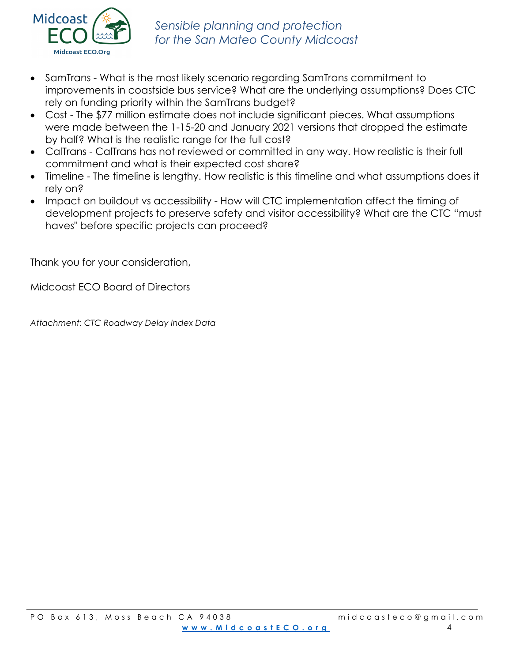

- SamTrans What is the most likely scenario regarding SamTrans commitment to improvements in coastside bus service? What are the underlying assumptions? Does CTC rely on funding priority within the SamTrans budget?
- Cost The \$77 million estimate does not include significant pieces. What assumptions were made between the 1-15-20 and January 2021 versions that dropped the estimate by half? What is the realistic range for the full cost?
- CalTrans CalTrans has not reviewed or committed in any way. How realistic is their full commitment and what is their expected cost share?
- Timeline The timeline is lengthy. How realistic is this timeline and what assumptions does it rely on?
- Impact on buildout vs accessibility How will CTC implementation affect the timing of development projects to preserve safety and visitor accessibility? What are the CTC "must haves" before specific projects can proceed?

Thank you for your consideration,

Midcoast ECO Board of Directors

*Attachment: CTC Roadway Delay Index Data*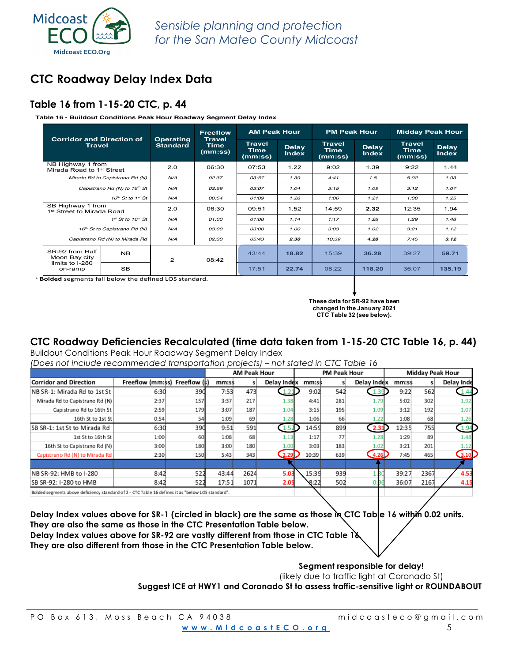# **CTC Roadway Delay Index Data**

### **Table 16 from 1-15-20 CTC, p. 44**

**Table 16 - Buildout Conditions Peak Hour Roadway Segment Delay Index**

| <b>Corridor and Direction of</b>                           |                                                | <b>Operating</b> | <b>Freeflow</b><br><b>Travel</b> | <b>AM Peak Hour</b>              |                              | <b>PM Peak Hour</b>                     |                              | <b>Midday Peak Hour</b>          |                              |  |  |
|------------------------------------------------------------|------------------------------------------------|------------------|----------------------------------|----------------------------------|------------------------------|-----------------------------------------|------------------------------|----------------------------------|------------------------------|--|--|
| <b>Travel</b>                                              |                                                | <b>Standard</b>  | <b>Time</b><br>(mm:ss)           | <b>Travel</b><br>Time<br>(mm:ss) | <b>Delay</b><br><b>Index</b> | <b>Travel</b><br><b>Time</b><br>(mm:ss) | <b>Delay</b><br><b>Index</b> | <b>Travel</b><br>Time<br>(mm:ss) | <b>Delay</b><br><b>Index</b> |  |  |
| NB Highway 1 from<br>Mirada Road to 1 <sup>st</sup> Street |                                                | 2.0              | 06:30                            | 1.22<br>07:53                    |                              | 9:02                                    | 1.39                         | 9:22                             | 1.44                         |  |  |
|                                                            | Mirada Rd to Capistrano Rd (N)                 | N/A              | 02:37                            | 03:37                            | 1.39                         | 4:41                                    | 1.8                          | 5:02                             | 1.93                         |  |  |
| Capistrano Rd (N) to 16 <sup>th</sup> St                   |                                                | N/A              | 02:59                            | 03:07                            | 1.04                         | 3:15                                    | 1.09                         | 3:12                             | 1.07                         |  |  |
|                                                            | $16th$ St to $1st$ St                          |                  | 00:54                            | 01:09                            | 1.28                         | 1:06                                    | 1.21                         | 1:08                             | 1.25                         |  |  |
|                                                            | SB Highway 1 from<br>1st Street to Mirada Road |                  | 06:30                            | 09:51                            | 1.52                         | 14:59                                   | 2.32                         | 12:35                            | 1.94                         |  |  |
|                                                            | $1^{st}$ St to $16^{th}$ St                    | N/A              | 01:00                            | 01:08                            | 1.14                         | 1:17                                    | 1.28                         | 1:29                             | 1.48                         |  |  |
|                                                            | 16 <sup>th</sup> St to Capistrano Rd (N)       | N/A              | 0.3:00                           | 03:00                            | 1.00                         | 3:03                                    | 1.02                         | 3:21                             | 1.12                         |  |  |
|                                                            | Capistrano Rd (N) to Mirada Rd                 |                  | 02:30                            | 05:43                            | 2.30                         | 10:39                                   | 4.28                         | 7:45                             | 3.12                         |  |  |
| SR-92 from Half<br>Moon Bay city                           | <b>NB</b>                                      |                  | 08:42                            | 43:44                            | 18.82                        | 15:39                                   | 36.28                        | 39:27                            | 59.71                        |  |  |
| limits to I-280<br>on-ramp                                 | <b>SB</b>                                      | 2                |                                  | 17:51                            | 22.74                        | 08:22                                   | 118.20                       | 36:07                            | 135.19                       |  |  |

<sup>1</sup> **Bolded** segments fall below the defined LOS standard.

**These data for SR-92 have been changed in the January 2021 CTC Table 32 (see below).**

# **CTC Roadway Deficiencies Recalculated (time data taken from 1-15-20 CTC Table 16, p. 44)**

Buildout Conditions Peak Hour Roadway Segment Delay Index *- conditions in continue medding, segment bold, madn*<br>(Dessimat*inclindente.commended transportation projects) – not stated in CTG Table 5! 2020* 

|                                |                               |     |       | <b>AM Peak Hour</b> |             |       | <b>PM Peak Hour</b> |             | <b>Midday Peak Hour</b> |      |               |  |  |
|--------------------------------|-------------------------------|-----|-------|---------------------|-------------|-------|---------------------|-------------|-------------------------|------|---------------|--|--|
| <b>Corridor and Direction</b>  | Freeflow (mm:ss) Freeflow (s) |     | mm:ss |                     | Delay Index | mm:ss |                     | Delay Index | mm:ss                   |      | Delay Inde    |  |  |
| NB SR-1: Mirada Rd to 1st St   | 6:30                          | 390 | 7:53  | 473                 |             | 9:02  | 542                 | 1.3'        | 9:22                    | 562  |               |  |  |
| Mirada Rd to Capistrano Rd (N) | 2:37                          | 157 | 3:37  | 217                 | 1.38        | 4:41  | 281                 | 1.79        | 5:02                    | 302  | 1.92          |  |  |
| Capistrano Rd to 16th St       | 2:59                          | 179 | 3:07  | 187                 | 1.04        | 3:15  | 195                 | 1.09        | 3:12                    | 192  | $1.0^{\circ}$ |  |  |
| 16th St to 1st St              | 0:54                          | 54  | 1:09  | 69                  | 1.28        | 1:06  | 66                  | 1.22        | 1:08                    | 68   |               |  |  |
| SB SR-1: 1st St to Mirada Rd   | 6:30                          | 390 | 9:51  | 591                 |             | 14:59 | 899                 | 2.31        | 12:35                   | 755  | 4.94          |  |  |
| 1st St to 16th St              | 1:00                          | 60  | 1:08  | 68                  |             | 1:17  | 77                  | 1.28        | 1:29                    | 89   |               |  |  |
| 16th St to Capistrano Rd (N)   | 3:00                          | 180 | 3:00  | 180                 |             | 3:03  | 183                 | 1.02        | 3:21                    | 201  |               |  |  |
| Capistrano Rd (N) to Mirada Rd | 2:30                          | 150 | 5:43  | 343                 | 2.29        | 10:39 | 639                 | 4.26        | 7:45                    | 465  | 3.10          |  |  |
|                                |                               |     |       |                     |             |       |                     |             |                         |      |               |  |  |
| NB SR-92: HMB to I-280         | 8:42                          | 522 | 43:44 | 2624                | 5.0         | 15:39 | 939                 |             | 39:27                   | 2367 | 4.53          |  |  |
| SB SR-92: I-280 to HMB         | 8:42                          | 522 | 17:51 | 1071                | 2.05        | 8:22  | 502                 |             | 36:07                   | 2167 | 4.15          |  |  |

**Delay Index values above for SR-1 (circled in black) are the same as those in CTC Table 16 within 0.02 units. They are also the same as those in the CTC Presentation Table below.**

**Delay Index values above for SR-92 are vastly different from those in CTC Table 16.**

**They are also different from those in the CTC Presentation Table below.**

**Segment responsible for delay!**

(likely due to traffic light at Coronado St)

**Suggest ICE at HWY1 and Coronado St to assess traffic-sensitive light or ROUNDABOUT**